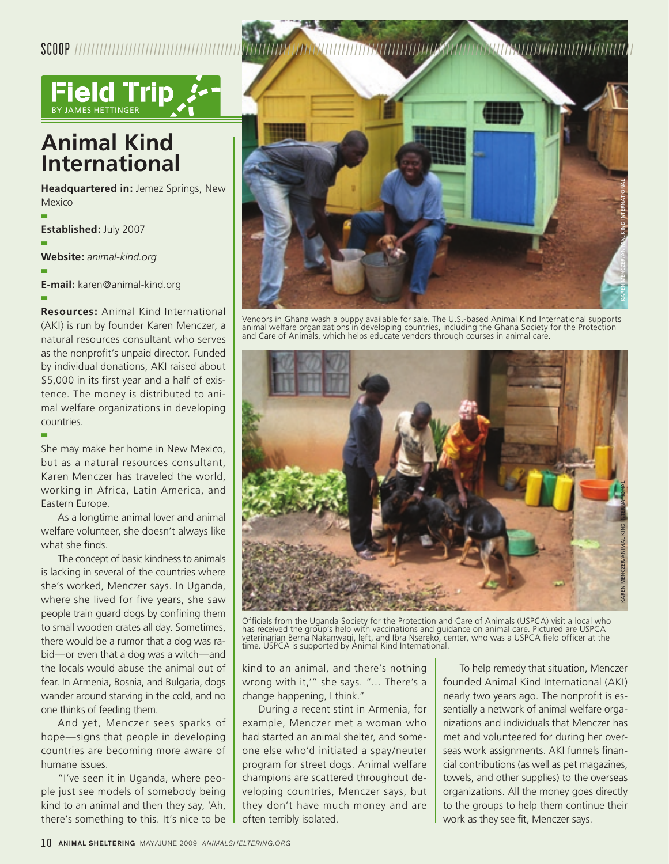

## **Animal Kind International**

**Headquartered in:** Jemez Springs, New Mexico

n **Established:** July 2007 n **Website:** *animal-kind.org* n

**E-mail:** karen@animal-kind.org

n

n

**Resources:** Animal Kind International (AKI) is run by founder Karen Menczer, a natural resources consultant who serves as the nonprofit's unpaid director. Funded by individual donations, AKI raised about \$5,000 in its first year and a half of existence. The money is distributed to animal welfare organizations in developing countries.

She may make her home in New Mexico, but as a natural resources consultant, Karen Menczer has traveled the world, working in Africa, Latin America, and Eastern Europe.

As a longtime animal lover and animal welfare volunteer, she doesn't always like what she finds.

The concept of basic kindness to animals is lacking in several of the countries where she's worked, Menczer says. In Uganda, where she lived for five years, she saw people train guard dogs by confining them to small wooden crates all day. Sometimes, there would be a rumor that a dog was rabid—or even that a dog was a witch—and the locals would abuse the animal out of fear. In Armenia, Bosnia, and Bulgaria, dogs wander around starving in the cold, and no one thinks of feeding them.

And yet, Menczer sees sparks of hope—signs that people in developing countries are becoming more aware of humane issues.

"I've seen it in Uganda, where people just see models of somebody being kind to an animal and then they say, 'Ah, there's something to this. It's nice to be



Vendors in Ghana wash a puppy available for sale. The U.S.-based Animal Kind International supports animal welfare organizations in developing countries, including the Ghana Society for the Protection and Care of Animals, which helps educate vendors through courses in animal care.



Officials from the Uganda Society for the Protection and Care of Animals (USPCA) visit a local who has received the group's help with vaccinations and guidance on animal care. Pictured are USPCA<br>veterinarian Berna Nakanwagi, left, and Ibra Nsereko, center, who was a USPCA field officer at the<br>time. USPCA is supported by

kind to an animal, and there's nothing wrong with it,'" she says. "… There's a change happening, I think."

During a recent stint in Armenia, for example, Menczer met a woman who had started an animal shelter, and someone else who'd initiated a spay/neuter program for street dogs. Animal welfare champions are scattered throughout developing countries, Menczer says, but they don't have much money and are often terribly isolated.

To help remedy that situation, Menczer founded Animal Kind International (AKI) nearly two years ago. The nonprofit is essentially a network of animal welfare organizations and individuals that Menczer has met and volunteered for during her overseas work assignments. AKI funnels financial contributions (as well as pet magazines, towels, and other supplies) to the overseas organizations. All the money goes directly to the groups to help them continue their work as they see fit, Menczer says.